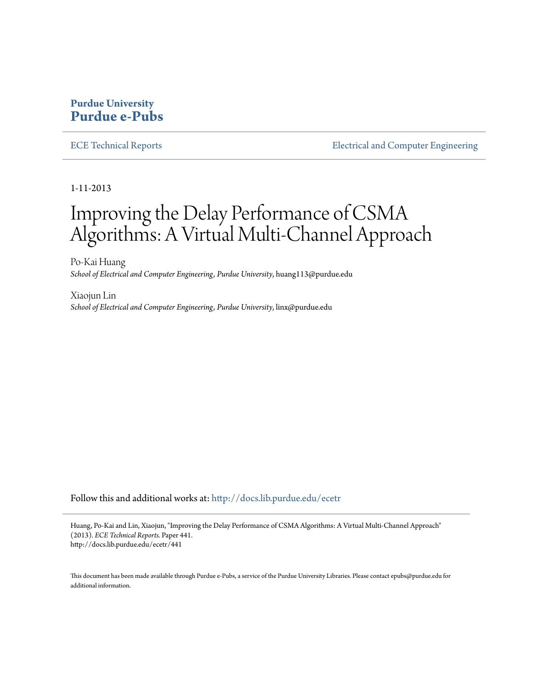## **Purdue University [Purdue e-Pubs](http://docs.lib.purdue.edu?utm_source=docs.lib.purdue.edu%2Fecetr%2F441&utm_medium=PDF&utm_campaign=PDFCoverPages)**

[ECE Technical Reports](http://docs.lib.purdue.edu/ecetr?utm_source=docs.lib.purdue.edu%2Fecetr%2F441&utm_medium=PDF&utm_campaign=PDFCoverPages) **[Electrical and Computer Engineering](http://docs.lib.purdue.edu/ece?utm_source=docs.lib.purdue.edu%2Fecetr%2F441&utm_medium=PDF&utm_campaign=PDFCoverPages)** 

1-11-2013

# Improving the Delay Performance of CSMA Algorithms: A Virtual Multi-Channel Approach

Po-Kai Huang *School of Electrical and Computer Engineering, Purdue University*, huang113@purdue.edu

Xiaojun Lin *School of Electrical and Computer Engineering, Purdue University*, linx@purdue.edu

Follow this and additional works at: [http://docs.lib.purdue.edu/ecetr](http://docs.lib.purdue.edu/ecetr?utm_source=docs.lib.purdue.edu%2Fecetr%2F441&utm_medium=PDF&utm_campaign=PDFCoverPages)

Huang, Po-Kai and Lin, Xiaojun, "Improving the Delay Performance of CSMA Algorithms: A Virtual Multi-Channel Approach" (2013). *ECE Technical Reports.* Paper 441. http://docs.lib.purdue.edu/ecetr/441

This document has been made available through Purdue e-Pubs, a service of the Purdue University Libraries. Please contact epubs@purdue.edu for additional information.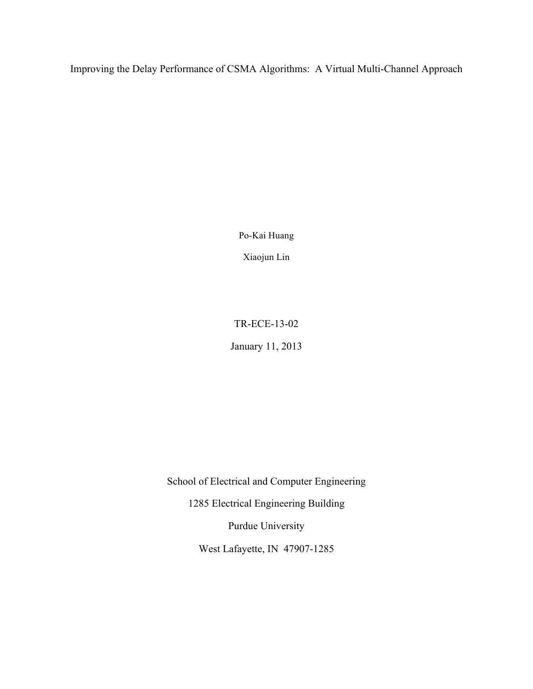Improving the Delay Performance of CSMA Algorithms: A Virtual Multi-Channel Approach

Po-Kai Huang

Xiaojun Lin

### TR-ECE-13-02

January 11, 2013

School of Electrical and Computer Engineering 1285 Electrical Engineering Building Purdue University West Lafayette, IN 47907-1285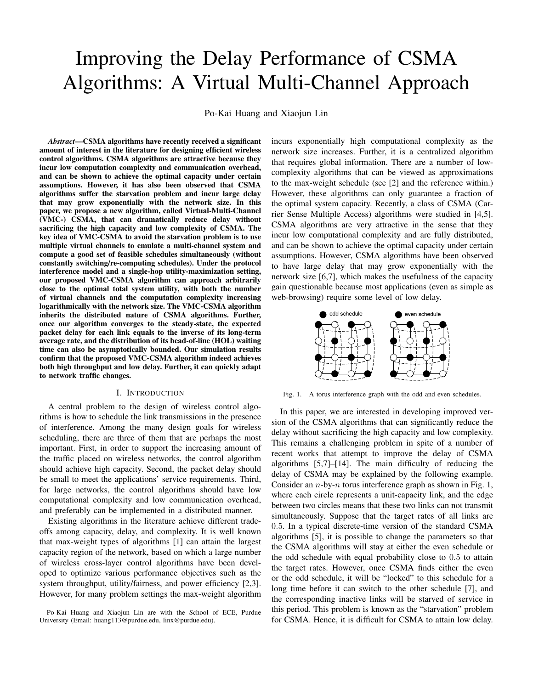## Improving the Delay Performance of CSMA Algorithms: A Virtual Multi-Channel Approach

Po-Kai Huang and Xiaojun Lin

*Abstract*—CSMA algorithms have recently received a significant amount of interest in the literature for designing efficient wireless control algorithms. CSMA algorithms are attractive because they incur low computation complexity and communication overhead, and can be shown to achieve the optimal capacity under certain assumptions. However, it has also been observed that CSMA algorithms suffer the starvation problem and incur large delay that may grow exponentially with the network size. In this paper, we propose a new algorithm, called Virtual-Multi-Channel (VMC-) CSMA, that can dramatically reduce delay without sacrificing the high capacity and low complexity of CSMA. The key idea of VMC-CSMA to avoid the starvation problem is to use multiple virtual channels to emulate a multi-channel system and compute a good set of feasible schedules simultaneously (without constantly switching/re-computing schedules). Under the protocol interference model and a single-hop utility-maximization setting, our proposed VMC-CSMA algorithm can approach arbitrarily close to the optimal total system utility, with both the number of virtual channels and the computation complexity increasing logarithmically with the network size. The VMC-CSMA algorithm inherits the distributed nature of CSMA algorithms. Further, once our algorithm converges to the steady-state, the expected packet delay for each link equals to the inverse of its long-term average rate, and the distribution of its head-of-line (HOL) waiting time can also be asymptotically bounded. Our simulation results confirm that the proposed VMC-CSMA algorithm indeed achieves both high throughput and low delay. Further, it can quickly adapt to network traffic changes.

#### I. INTRODUCTION

A central problem to the design of wireless control algorithms is how to schedule the link transmissions in the presence of interference. Among the many design goals for wireless scheduling, there are three of them that are perhaps the most important. First, in order to support the increasing amount of the traffic placed on wireless networks, the control algorithm should achieve high capacity. Second, the packet delay should be small to meet the applications' service requirements. Third, for large networks, the control algorithms should have low computational complexity and low communication overhead, and preferably can be implemented in a distributed manner.

Existing algorithms in the literature achieve different tradeoffs among capacity, delay, and complexity. It is well known that max-weight types of algorithms [1] can attain the largest capacity region of the network, based on which a large number of wireless cross-layer control algorithms have been developed to optimize various performance objectives such as the system throughput, utility/fairness, and power efficiency [2,3]. However, for many problem settings the max-weight algorithm incurs exponentially high computational complexity as the network size increases. Further, it is a centralized algorithm that requires global information. There are a number of lowcomplexity algorithms that can be viewed as approximations to the max-weight schedule (see [2] and the reference within.) However, these algorithms can only guarantee a fraction of the optimal system capacity. Recently, a class of CSMA (Carrier Sense Multiple Access) algorithms were studied in [4,5]. CSMA algorithms are very attractive in the sense that they incur low computational complexity and are fully distributed, and can be shown to achieve the optimal capacity under certain assumptions. However, CSMA algorithms have been observed to have large delay that may grow exponentially with the network size [6,7], which makes the usefulness of the capacity gain questionable because most applications (even as simple as web-browsing) require some level of low delay.



Fig. 1. A torus interference graph with the odd and even schedules.

In this paper, we are interested in developing improved version of the CSMA algorithms that can significantly reduce the delay without sacrificing the high capacity and low complexity. This remains a challenging problem in spite of a number of recent works that attempt to improve the delay of CSMA algorithms [5,7]–[14]. The main difficulty of reducing the delay of CSMA may be explained by the following example. Consider an *n*-by-*n* torus interference graph as shown in Fig. 1, where each circle represents a unit-capacity link, and the edge between two circles means that these two links can not transmit simultaneously. Suppose that the target rates of all links are 0*.*5. In a typical discrete-time version of the standard CSMA algorithms [5], it is possible to change the parameters so that the CSMA algorithms will stay at either the even schedule or the odd schedule with equal probability close to 0*.*5 to attain the target rates. However, once CSMA finds either the even or the odd schedule, it will be "locked" to this schedule for a long time before it can switch to the other schedule [7], and the corresponding inactive links will be starved of service in this period. This problem is known as the "starvation" problem for CSMA. Hence, it is difficult for CSMA to attain low delay.

Po-Kai Huang and Xiaojun Lin are with the School of ECE, Purdue University (Email: huang113@purdue.edu, linx@purdue.edu).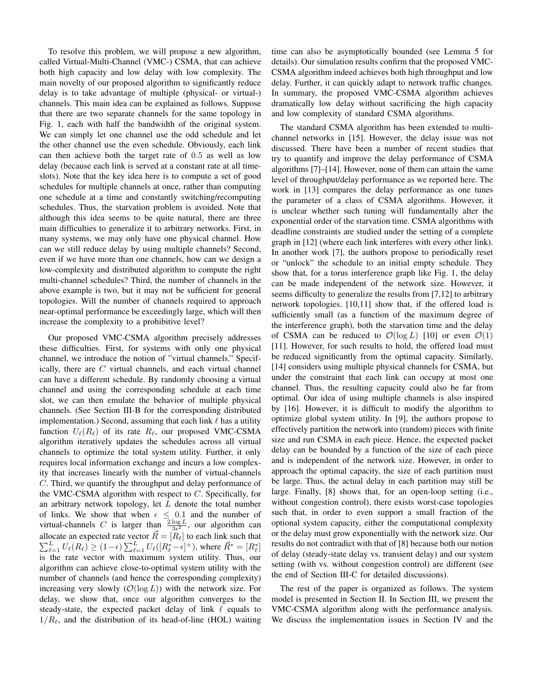To resolve this problem, we will propose a new algorithm, called Virtual-Multi-Channel (VMC-) CSMA, that can achieve both high capacity and low delay with low complexity. The main novelty of our proposed algorithm to significantly reduce delay is to take advantage of multiple (physical- or virtual-) channels. This main idea can be explained as follows. Suppose that there are two separate channels for the same topology in Fig. 1, each with half the bandwidth of the original system. We can simply let one channel use the odd schedule and let the other channel use the even schedule. Obviously, each link can then achieve both the target rate of 0*.*5 as well as low delay (because each link is served at a constant rate at all timeslots). Note that the key idea here is to compute a set of good schedules for multiple channels at once, rather than computing one schedule at a time and constantly switching/recomputing schedules. Thus, the starvation problem is avoided. Note that although this idea seems to be quite natural, there are three main difficulties to generalize it to arbitrary networks. First, in many systems, we may only have one physical channel. How can we still reduce delay by using multiple channels? Second, even if we have more than one channels, how can we design a low-complexity and distributed algorithm to compute the right multi-channel schedules? Third, the number of channels in the above example is two, but it may not be sufficient for general topologies. Will the number of channels required to approach near-optimal performance be exceedingly large, which will then increase the complexity to a prohibitive level?

Our proposed VMC-CSMA algorithm precisely addresses these difficulties. First, for systems with only one physical channel, we introduce the notion of "virtual channels." Specifically, there are *C* virtual channels, and each virtual channel can have a different schedule. By randomly choosing a virtual channel and using the corresponding schedule at each time slot, we can then emulate the behavior of multiple physical channels. (See Section III-B for the corresponding distributed implementation.) Second, assuming that each link *ℓ* has a utility function  $U_{\ell}(R_{\ell})$  of its rate  $R_{\ell}$ , our proposed VMC-CSMA algorithm iteratively updates the schedules across all virtual channels to optimize the total system utility. Further, it only requires local information exchange and incurs a low complexity that increases linearly with the number of virtual-channels *C*. Third, we quantify the throughput and delay performance of the VMC-CSMA algorithm with respect to *C*. Specifically, for an arbitrary network topology, let *L* denote the total number of links. We show that when  $\epsilon \leq 0.1$  and the number of virtual-channels *C* is larger than  $\frac{2 \log L}{3\epsilon^2}$ , our algorithm can allocate an expected rate vector  $\vec{R} = [\vec{R}_{\ell}]$  to each link such that  $\sum_{\ell=1}^{L} U_{\ell}(R_{\ell}) \ge (1-\epsilon) \sum_{\ell=1}^{L} U_{\ell}([R_{\ell}^{*}-\epsilon]^{+}),$  where  $\vec{R}^{*} = [R_{\ell}^{*}]$ is the rate vector with maximum system utility. Thus, our algorithm can achieve close-to-optimal system utility with the number of channels (and hence the corresponding complexity) increasing very slowly  $(\mathcal{O}(\log L))$  with the network size. For delay, we show that, once our algorithm converges to the steady-state, the expected packet delay of link *ℓ* equals to  $1/R_\ell$ , and the distribution of its head-of-line (HOL) waiting time can also be asymptotically bounded (see Lemma 5 for details). Our simulation results confirm that the proposed VMC-CSMA algorithm indeed achieves both high throughput and low delay. Further, it can quickly adapt to network traffic changes. In summary, the proposed VMC-CSMA algorithm achieves dramatically low delay without sacrificing the high capacity and low complexity of standard CSMA algorithms.

The standard CSMA algorithm has been extended to multichannel networks in [15]. However, the delay issue was not discussed. There have been a number of recent studies that try to quantify and improve the delay performance of CSMA algorithms [7]–[14]. However, none of them can attain the same level of throughput/delay performance as we reported here. The work in [13] compares the delay performance as one tunes the parameter of a class of CSMA algorithms. However, it is unclear whether such tuning will fundamentally alter the exponential order of the starvation time. CSMA algorithms with deadline constraints are studied under the setting of a complete graph in [12] (where each link interferes with every other link). In another work [7], the authors propose to periodically reset or "unlock" the schedule to an initial empty schedule. They show that, for a torus interference graph like Fig. 1, the delay can be made independent of the network size. However, it seems difficulty to generalize the results from [7,12] to arbitrary network topologies. [10,11] show that, if the offered load is sufficiently small (as a function of the maximum degree of the interference graph), both the starvation time and the delay of CSMA can be reduced to  $\mathcal{O}(\log L)$  [10] or even  $\mathcal{O}(1)$ [11]. However, for such results to hold, the offered load must be reduced significantly from the optimal capacity. Similarly, [14] considers using multiple physical channels for CSMA, but under the constraint that each link can occupy at most one channel. Thus, the resulting capacity could also be far from optimal. Our idea of using multiple channels is also inspired by [16]. However, it is difficult to modify the algorithm to optimize global system utility. In [9], the authors propose to effectively partition the network into (random) pieces with finite size and run CSMA in each piece. Hence, the expected packet delay can be bounded by a function of the size of each piece and is independent of the network size. However, in order to approach the optimal capacity, the size of each partition must be large. Thus, the actual delay in each partition may still be large. Finally, [8] shows that, for an open-loop setting (i.e., without congestion control), there exists worst-case topologies such that, in order to even support a small fraction of the optional system capacity, either the computational complexity or the delay must grow exponentially with the network size. Our results do not contradict with that of [8] because both our notion of delay (steady-state delay vs. transient delay) and our system setting (with vs. without congestion control) are different (see the end of Section III-C for detailed discussions).

The rest of the paper is organized as follows. The system model is presented in Section II. In Section III, we present the VMC-CSMA algorithm along with the performance analysis. We discuss the implementation issues in Section IV and the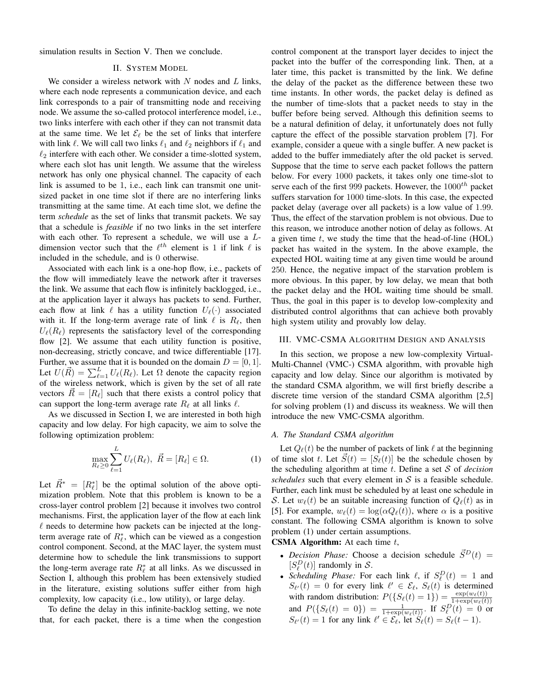simulation results in Section V. Then we conclude.

#### II. SYSTEM MODEL

We consider a wireless network with *N* nodes and *L* links, where each node represents a communication device, and each link corresponds to a pair of transmitting node and receiving node. We assume the so-called protocol interference model, i.e., two links interfere with each other if they can not transmit data at the same time. We let  $\mathcal{E}_{\ell}$  be the set of links that interfere with link *ℓ*. We will call two links *ℓ*<sup>1</sup> and *ℓ*<sup>2</sup> neighbors if *ℓ*<sup>1</sup> and  $\ell_2$  interfere with each other. We consider a time-slotted system, where each slot has unit length. We assume that the wireless network has only one physical channel. The capacity of each link is assumed to be 1, i.e., each link can transmit one unitsized packet in one time slot if there are no interfering links transmitting at the same time. At each time slot, we define the term *schedule* as the set of links that transmit packets. We say that a schedule is *feasible* if no two links in the set interfere with each other. To represent a schedule, we will use a *L*dimension vector such that the *ℓ th* element is 1 if link *ℓ* is included in the schedule, and is 0 otherwise.

Associated with each link is a one-hop flow, i.e., packets of the flow will immediately leave the network after it traverses the link. We assume that each flow is infinitely backlogged, i.e., at the application layer it always has packets to send. Further, each flow at link  $\ell$  has a utility function  $U_{\ell}(\cdot)$  associated with it. If the long-term average rate of link *ℓ* is *Rℓ*, then  $U_{\ell}(R_{\ell})$  represents the satisfactory level of the corresponding flow [2]. We assume that each utility function is positive, non-decreasing, strictly concave, and twice differentiable [17]. Further, we assume that it is bounded on the domain  $D = [0, 1]$ . Let  $U(\vec{R}) = \sum_{\ell=1}^{L} U_{\ell}(R_{\ell})$ . Let  $\Omega$  denote the capacity region of the wireless network, which is given by the set of all rate vectors  $R = [R_\ell]$  such that there exists a control policy that can support the long-term average rate *R<sup>ℓ</sup>* at all links *ℓ*.

As we discussed in Section I, we are interested in both high capacity and low delay. For high capacity, we aim to solve the following optimization problem:

$$
\max_{R_{\ell}\geq 0} \sum_{\ell=1}^{L} U_{\ell}(R_{\ell}), \ \vec{R} = [R_{\ell}] \in \Omega. \tag{1}
$$

Let  $\vec{R}^* = [R^*_{\ell}]$  be the optimal solution of the above optimization problem. Note that this problem is known to be a cross-layer control problem [2] because it involves two control mechanisms. First, the application layer of the flow at each link *ℓ* needs to determine how packets can be injected at the longterm average rate of  $R^*_{\ell}$ , which can be viewed as a congestion control component. Second, at the MAC layer, the system must determine how to schedule the link transmissions to support the long-term average rate  $R^*_{\ell}$  at all links. As we discussed in Section I, although this problem has been extensively studied in the literature, existing solutions suffer either from high complexity, low capacity (i.e., low utility), or large delay.

To define the delay in this infinite-backlog setting, we note that, for each packet, there is a time when the congestion

control component at the transport layer decides to inject the packet into the buffer of the corresponding link. Then, at a later time, this packet is transmitted by the link. We define the delay of the packet as the difference between these two time instants. In other words, the packet delay is defined as the number of time-slots that a packet needs to stay in the buffer before being served. Although this definition seems to be a natural definition of delay, it unfortunately does not fully capture the effect of the possible starvation problem [7]. For example, consider a queue with a single buffer. A new packet is added to the buffer immediately after the old packet is served. Suppose that the time to serve each packet follows the pattern below. For every 1000 packets, it takes only one time-slot to serve each of the first 999 packets. However, the 1000*th* packet suffers starvation for 1000 time-slots. In this case, the expected packet delay (average over all packets) is a low value of 1*.*99. Thus, the effect of the starvation problem is not obvious. Due to this reason, we introduce another notion of delay as follows. At a given time *t*, we study the time that the head-of-line (HOL) packet has waited in the system. In the above example, the expected HOL waiting time at any given time would be around 250. Hence, the negative impact of the starvation problem is more obvious. In this paper, by low delay, we mean that both the packet delay and the HOL waiting time should be small. Thus, the goal in this paper is to develop low-complexity and distributed control algorithms that can achieve both provably high system utility and provably low delay.

#### III. VMC-CSMA ALGORITHM DESIGN AND ANALYSIS

In this section, we propose a new low-complexity Virtual-Multi-Channel (VMC-) CSMA algorithm, with provable high capacity and low delay. Since our algorithm is motivated by the standard CSMA algorithm, we will first briefly describe a discrete time version of the standard CSMA algorithm [2,5] for solving problem (1) and discuss its weakness. We will then introduce the new VMC-CSMA algorithm.

#### *A. The Standard CSMA algorithm*

Let  $Q_{\ell}(t)$  be the number of packets of link  $\ell$  at the beginning of time slot *t*. Let  $\vec{S}(t) = [S_\ell(t)]$  be the schedule chosen by the scheduling algorithm at time *t*. Define a set *S* of *decision schedules* such that every element in *S* is a feasible schedule. Further, each link must be scheduled by at least one schedule in *S*. Let  $w_{\ell}(t)$  be an suitable increasing function of  $Q_{\ell}(t)$  as in [5]. For example,  $w_{\ell}(t) = \log(\alpha Q_{\ell}(t))$ , where  $\alpha$  is a positive constant. The following CSMA algorithm is known to solve problem (1) under certain assumptions.

CSMA Algorithm: At each time *t*,

- *Decision Phase:* Choose a decision schedule  $\vec{S}^D(t)$  =  $[S_{\ell}^{D}(t)]$  randomly in *S*.
- *Scheduling Phase:* For each link  $\ell$ , if  $S_{\ell}^{D}(t) = 1$  and  $S_{\ell'}(t) = 0$  for every link  $\ell' \in \mathcal{E}_{\ell}, S_{\ell}(t)$  is determined with random distribution:  $P(\lbrace S_\ell(t) = 1 \rbrace) = \frac{\exp(w_\ell(t))}{1 + \exp(w_\ell(t))}$ <br>and  $P(\lbrace S_\ell(t) = 0 \rbrace) = \frac{1}{1 + \exp(w_\ell(t))}$ . If  $S_\ell^D(t) = 0$  or  $S_{\ell'}(t) = 1$  for any link  $\ell' \in \mathcal{E}_{\ell}$ , let  $S_{\ell}(t) = S_{\ell}(t-1)$ .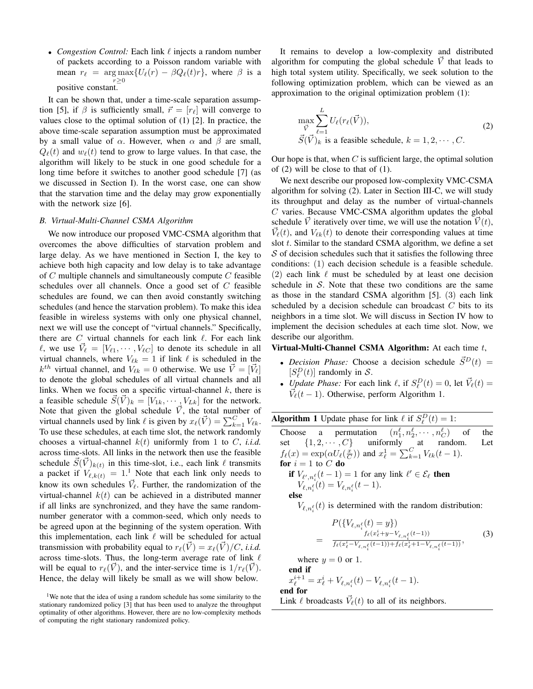*• Congestion Control:* Each link *ℓ* injects a random number of packets according to a Poisson random variable with mean  $r_{\ell}$  = arg max $\{U_{\ell}(r) - \beta Q_{\ell}(t)r\}$ , where  $\beta$  is a *r≥*0 positive constant.

It can be shown that, under a time-scale separation assumption [5], if  $\beta$  is sufficiently small,  $\vec{r} = [r_\ell]$  will converge to values close to the optimal solution of (1) [2]. In practice, the above time-scale separation assumption must be approximated by a small value of *α*. However, when *α* and *β* are small,  $Q_{\ell}(t)$  and  $w_{\ell}(t)$  tend to grow to large values. In that case, the algorithm will likely to be stuck in one good schedule for a long time before it switches to another good schedule [7] (as we discussed in Section I). In the worst case, one can show that the starvation time and the delay may grow exponentially with the network size [6].

#### *B. Virtual-Multi-Channel CSMA Algorithm*

We now introduce our proposed VMC-CSMA algorithm that overcomes the above difficulties of starvation problem and large delay. As we have mentioned in Section I, the key to achieve both high capacity and low delay is to take advantage of *C* multiple channels and simultaneously compute *C* feasible schedules over all channels. Once a good set of *C* feasible schedules are found, we can then avoid constantly switching schedules (and hence the starvation problem). To make this idea feasible in wireless systems with only one physical channel, next we will use the concept of "virtual channels." Specifically, there are *C* virtual channels for each link *ℓ*. For each link  $\ell$ , we use  $\vec{V}_{\ell} = [V_{\ell 1}, \cdots, V_{\ell C}]$  to denote its schedule in all virtual channels, where  $V_{\ell k} = 1$  if link  $\ell$  is scheduled in the *k*<sup>th</sup> virtual channel, and  $V_{\ell k} = 0$  otherwise. We use  $\vec{V} = [\vec{V}_{\ell}]$ to denote the global schedules of all virtual channels and all links. When we focus on a specific virtual-channel *k*, there is a feasible schedule  $\vec{S}(\vec{V})_k = [V_{1k}, \cdots, V_{Lk}]$  for the network. Note that given the global schedule  $\vec{V}$ , the total number of virtual channels used by link  $\ell$  is given by  $x_{\ell}(\vec{V}) = \sum_{k=1}^{C} V_{\ell k}$ . To use these schedules, at each time slot, the network randomly chooses a virtual-channel *k*(*t*) uniformly from 1 to *C*, *i.i.d.* across time-slots. All links in the network then use the feasible schedule  $\vec{S}(\vec{V})_{k(t)}$  in this time-slot, i.e., each link  $\ell$  transmits a packet if  $V_{\ell,k}(t) = 1$ <sup>1</sup>. Note that each link only needs to know its own schedules  $\vec{V}_{\ell}$ . Further, the randomization of the virtual-channel *k*(*t*) can be achieved in a distributed manner if all links are synchronized, and they have the same randomnumber generator with a common-seed, which only needs to be agreed upon at the beginning of the system operation. With this implementation, each link *ℓ* will be scheduled for actual transmission with probability equal to  $r_\ell(\vec{V}) = x_\ell(\vec{V})/C$ , *i.i.d.* across time-slots. Thus, the long-term average rate of link *ℓ* will be equal to  $r_{\ell}(V)$ , and the inter-service time is  $1/r_{\ell}(V)$ . Hence, the delay will likely be small as we will show below.

It remains to develop a low-complexity and distributed algorithm for computing the global schedule  $\vec{V}$  that leads to high total system utility. Specifically, we seek solution to the following optimization problem, which can be viewed as an approximation to the original optimization problem (1):

$$
\max_{\vec{V}} \sum_{\ell=1}^{L} U_{\ell}(r_{\ell}(\vec{V})),
$$
\n
$$
\vec{S}(\vec{V})_k \text{ is a feasible schedule, } k = 1, 2, \cdots, C.
$$
\n(2)

Our hope is that, when *C* is sufficient large, the optimal solution of (2) will be close to that of (1).

We next describe our proposed low-complexity VMC-CSMA algorithm for solving (2). Later in Section III-C, we will study its throughput and delay as the number of virtual-channels *C* varies. Because VMC-CSMA algorithm updates the global schedule  $\vec{V}$  iteratively over time, we will use the notation  $\vec{V}(t)$ ,  $\vec{V}_{\ell}(t)$ , and  $V_{\ell k}(t)$  to denote their corresponding values at time slot *t*. Similar to the standard CSMA algorithm, we define a set *S* of decision schedules such that it satisfies the following three conditions: (1) each decision schedule is a feasible schedule. (2) each link *ℓ* must be scheduled by at least one decision schedule in  $S$ . Note that these two conditions are the same as those in the standard CSMA algorithm [5]. (3) each link scheduled by a decision schedule can broadcast *C* bits to its neighbors in a time slot. We will discuss in Section IV how to implement the decision schedules at each time slot. Now, we describe our algorithm.

Virtual-Multi-Channel CSMA Algorithm: At each time *t*,

- *Decision Phase:* Choose a decision schedule  $\vec{S}^D(t)$  =  $[S_{\ell}^{D}(t)]$  randomly in *S*.
- *Update Phase:* For each link  $\ell$ , if  $S_{\ell}^{D}(t) = 0$ , let  $\vec{V}_{\ell}(t) =$  $\vec{V}_{\ell}(t-1)$ . Otherwise, perform Algorithm 1.

Algorithm 1 Update phase for link  $\ell$  if  $S_{\ell}^{D}(t) = 1$ :

Choose a permutation  $(n_1^{\ell}, n_2^{\ell}, \cdots, n_{\ell}^{\ell})$  $\binom{\ell}{C}$  of the set  $\{1, 2, \cdots, C\}$  uniformly at random. Let  $f_{\ell}(x) = \exp(\alpha U_{\ell}(\frac{x}{C}))$  and  $x_{\ell}^{1} = \sum_{k=1}^{C} V_{\ell k}(t-1)$ . for  $i = 1$  to  $C$  do if  $V_{\ell',n_\ell^{\ell}}(t-1) = 1$  for any link  $\ell' \in \mathcal{E}_{\ell}$  then  $V_{\ell,n_i^{\ell}}(t) = V_{\ell,n_i^{\ell}}(t-1).$ else  $V_{\ell,n_\ell^{\ell}}(t)$  is determined with the random distribution:  $P({V_{\ell,n_i^{\ell}}(t) = y})$  $=\frac{f_{\ell}(x_{\ell}^{i}+y-V_{\ell,n_{\ell}^{\ell}}(t-1))}{f_{\ell}(x_{\ell}^{i}-V_{\ell,n}(t-1))+f_{\ell}(x_{\ell}^{i}+1-V_{\ell,n})}$  $\frac{1}{f_{\ell}(x_{\ell}^i-V_{\ell,n_{\ell}^{\ell}}(t-1))+f_{\ell}(x_{\ell}^i+1-V_{\ell,n_{\ell}^{\ell}}(t-1))},$ (3)

where  $y = 0$  or 1.

end if

 $x_{\ell}^{i+1} = x_{\ell}^{i} + V_{\ell,n_{i}^{\ell}}(t) - V_{\ell,n_{i}^{\ell}}(t-1).$ end for

Link  $\ell$  broadcasts  $\vec{V}_{\ell}(t)$  to all of its neighbors.

<sup>&</sup>lt;sup>1</sup>We note that the idea of using a random schedule has some similarity to the stationary randomized policy [3] that has been used to analyze the throughput optimality of other algorithms. However, there are no low-complexity methods of computing the right stationary randomized policy.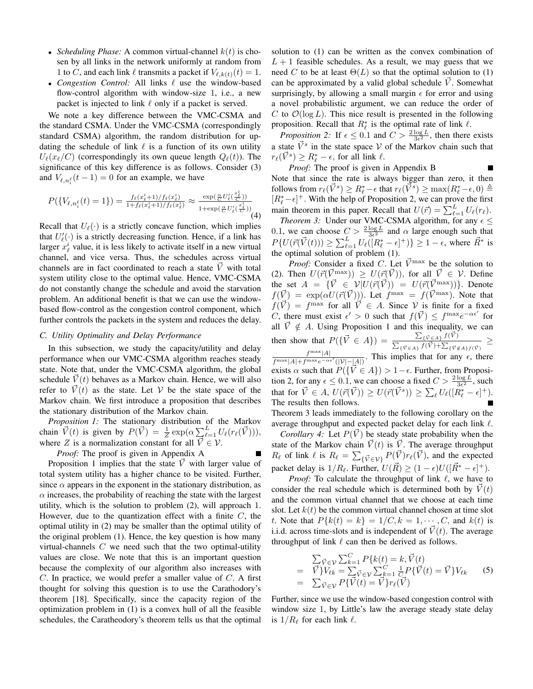- *Scheduling Phase:* A common virtual-channel  $k(t)$  is chosen by all links in the network uniformly at random from 1 to *C*, and each link  $\ell$  transmits a packet if  $V_{\ell, k}(t) = 1$ .
- *• Congestion Control:* All links *ℓ* use the window-based flow-control algorithm with window-size 1, i.e., a new packet is injected to link *ℓ* only if a packet is served.

We note a key difference between the VMC-CSMA and the standard CSMA. Under the VMC-CSMA (correspondingly standard CSMA) algorithm, the random distribution for updating the schedule of link *ℓ* is a function of its own utility  $U_{\ell}(x_{\ell}/C)$  (correspondingly its own queue length  $Q_{\ell}(t)$ ). The significance of this key difference is as follows. Consider (3) and  $V_{\ell,n_i^{\ell}}(t-1) = 0$  for an example, we have

$$
P(\lbrace V_{\ell,n_i^{\ell}}(t) = 1 \rbrace) = \frac{f_{\ell}(x_{\ell}^i + 1) / f_{\ell}(x_{\ell}^i)}{1 + f_{\ell}(x_{\ell}^i + 1) / f_{\ell}(x_{\ell}^i)} \approx \frac{\exp(\frac{\alpha}{C} U_{\ell}'(\frac{x_{\ell}^i}{C}))}{1 + \exp(\frac{\alpha}{C} U_{\ell}'(\frac{x_{\ell}^i}{C}))} \tag{4}
$$

Recall that  $U_\ell(\cdot)$  is a strictly concave function, which implies that  $U'_{\ell}(\cdot)$  is a strictly decreasing function. Hence, if a link has larger  $x_{\ell}^{i}$  value, it is less likely to activate itself in a new virtual channel, and vice versa. Thus, the schedules across virtual channels are in fact coordinated to reach a state  $\vec{V}$  with total system utility close to the optimal value. Hence, VMC-CSMA do not constantly change the schedule and avoid the starvation problem. An additional benefit is that we can use the windowbased flow-control as the congestion control component, which further controls the packets in the system and reduces the delay.

#### *C. Utility Optimality and Delay Performance*

In this subsection, we study the capacity/utility and delay performance when our VMC-CSMA algorithm reaches steady state. Note that, under the VMC-CSMA algorithm, the global schedule  $\overline{V}(t)$  behaves as a Markov chain. Hence, we will also refer to  $\vec{V}(t)$  as the state. Let  $V$  be the state space of the Markov chain. We first introduce a proposition that describes the stationary distribution of the Markov chain.

*Proposition 1:* The stationary distribution of the Markov chain  $\overrightarrow{V}(t)$  is given by  $P(\overrightarrow{V}) = \frac{1}{Z} \exp(\alpha \sum_{\ell=1}^{L} U_{\ell}(r_{\ell}(\overrightarrow{V}))),$ where *Z* is a normalization constant for all  $\overrightarrow{V} \in V$ .

*Proof:* The proof is given in Appendix A

Proposition 1 implies that the state  $\vec{V}$  with larger value of total system utility has a higher chance to be visited. Further, since  $\alpha$  appears in the exponent in the stationary distribution, as  $\alpha$  increases, the probability of reaching the state with the largest utility, which is the solution to problem (2), will approach 1. However, due to the quantization effect with a finite *C*, the optimal utility in (2) may be smaller than the optimal utility of the original problem (1). Hence, the key question is how many virtual-channels *C* we need such that the two optimal-utility values are close. We note that this is an important question because the complexity of our algorithm also increases with *C*. In practice, we would prefer a smaller value of *C*. A first thought for solving this question is to use the Carathodory's theorem [18]. Specifically, since the capacity region of the optimization problem in (1) is a convex hull of all the feasible schedules, the Caratheodory's theorem tells us that the optimal solution to (1) can be written as the convex combination of  $L + 1$  feasible schedules. As a result, we may guess that we need *C* to be at least  $\Theta(L)$  so that the optimal solution to (1) can be approximated by a valid global schedule  $\overrightarrow{V}$ . Somewhat surprisingly, by allowing a small margin  $\epsilon$  for error and using a novel probabilistic argument, we can reduce the order of *C* to  $\mathcal{O}(\log L)$ . This nice result is presented in the following proposition. Recall that  $R^*_{\ell}$  is the optimal rate of link  $\ell$ .

*Proposition 2:* If  $\epsilon \leq 0.1$  and  $C > \frac{2 \log L}{3\epsilon^2}$ , then there exists a state  $\vec{V}^s$  in the state space  $V$  of the Markov chain such that  $r_{\ell}(\vec{V}^s) \ge R_{\ell}^* - \epsilon$ , for all link  $\ell$ .

*Proof:* The proof is given in Appendix B Note that since the rate is always bigger than zero, it then  $\text{follows from } r_\ell(\vec{V}^s) \ge R_\ell^* - \epsilon \text{ that } r_\ell(\vec{V}^s) \ge \max(R_\ell^* - \epsilon, 0) \triangleq 1$  $[R^*_{\ell} - \epsilon]^+$ . With the help of Proposition 2, we can prove the first main theorem in this paper. Recall that  $U(\vec{r}) = \sum_{\ell=1}^{L} U_{\ell}(r_{\ell}).$ 

*Theorem 3:* Under our VMC-CSMA algorithm, for any *ϵ ≤* 0.1, we can choose  $C > \frac{2 \log L}{3\epsilon^2}$  and  $\alpha$  large enough such that  $P\{U(\vec{r}(\vec{V}(t))) \ge \sum_{\ell=1}^{L} U_{\ell}([\vec{R}_{\ell}^* - \epsilon]^+) \} \ge 1 - \epsilon$ , where  $\vec{R}^*$  is the optimal solution of problem (1).

*Proof:* Consider a fixed *C*. Let  $\vec{V}^{\text{max}}$  be the solution to (2). Then  $U(\vec{r}(\vec{V}^{\max})) \geq U(\vec{r}(\vec{V}))$ , for all  $\vec{V} \in \mathcal{V}$ . Define the set  $A = \{ \vec{V} \in \mathcal{V} | U(\vec{r}(\vec{V})) = U(\vec{r}(\vec{V}^{\max})) \}$ . Denote  $f(\vec{V}) = \exp(\alpha U(\vec{r}(\vec{V})))$ . Let  $f^{\max} = f(\vec{V}^{\max})$ . Note that  $f(\vec{V}) = f^{\text{max}}$  for all  $\vec{V} \in A$ . Since  $V$  is finite for a fixed *C*, there must exist  $\epsilon' > 0$  such that  $f(\vec{V}) \leq f^{\max}e^{-\alpha \epsilon'}$  for all  $\vec{V} \notin A$ . Using Proposition 1 and this inequality, we can then show that  $P(\{\vec{V} \in A\}) = \frac{\sum_{\{\vec{V} \in A\}} f(\vec{V})}{f(\vec{V}) \cdot \nabla}$  $\frac{\sum_{\{\vec{V} \in A\}} f(\vec{V}) + \sum_{\{\vec{V} \notin A\} f(\vec{V})\}}{2}$ 

*f* max*|A|*  $\frac{f^{\max}|A|}{f^{\max}|A| + f^{\max}e^{-\alpha \epsilon'}(|\mathcal{V}| - |A|)}$ . This implies that for any  $\epsilon$ , there exists  $\alpha$  such that  $P(\{\vec{V} \in A\}) > 1 - \epsilon$ . Further, from Proposition 2, for any  $\epsilon \le 0.1$ , we can choose a fixed  $C > \frac{2 \log L}{3\epsilon^2}$ , such that for  $\vec{V} \in A$ ,  $U(\vec{r}(\vec{V})) \ge U(\vec{r}(\vec{V}^s)) \ge \sum_{\ell} U_{\ell}([\vec{R}_{\ell}^s - \epsilon]^+).$ The results then follows.

Theorem 3 leads immediately to the following corollary on the average throughput and expected packet delay for each link *ℓ*.

*Corollary 4:* Let  $P(\vec{V})$  be steady state probability when the state of the Markov chain  $\vec{V}(t)$  is  $\vec{V}$ . The average throughput *R*<sup>*e*</sup> of link  $\ell$  is  $R_{\ell} = \sum_{\{\vec{V} \in \mathcal{V}\}} P(\vec{V}) r_{\ell}(\vec{V})$ , and the expected packet delay is  $1/R_{\ell}$ . Further,  $U(\vec{R}) \ge (1 - \epsilon)U([\vec{R}^* - \epsilon]^+)$ .

*Proof:* To calculate the throughput of link *ℓ*, we have to consider the real schedule which is determined both by  $\vec{V}(t)$ and the common virtual channel that we choose at each time slot. Let  $k(t)$  be the common virtual channel chosen at time slot *t*. Note that  $P\{k(t) = k\} = 1/C, k = 1, \dots, C$ , and  $k(t)$  is i.i.d. across time-slots and is independent of  $\vec{V}(t)$ . The average throughput of link *ℓ* can then be derived as follows.

$$
\sum_{\vec{V}\in\mathcal{V}} \sum_{k=1}^{C} P\{k(t) = k, \vec{V}(t) = \vec{V}\}
$$
\n
$$
= \vec{V}\}V_{\ell k} = \sum_{\vec{V}\in\mathcal{V}} \sum_{k=1}^{C} \frac{1}{C} P\{\vec{V}(t) = \vec{V}\}V_{\ell k} \qquad (5)
$$
\n
$$
= \sum_{\vec{V}\in\mathcal{V}} P\{\vec{V}(t) = \vec{V}\}r_{\ell}(\vec{V})
$$

Further, since we use the window-based congestion control with window size 1, by Little's law the average steady state delay is  $1/R_\ell$  for each link  $\ell$ .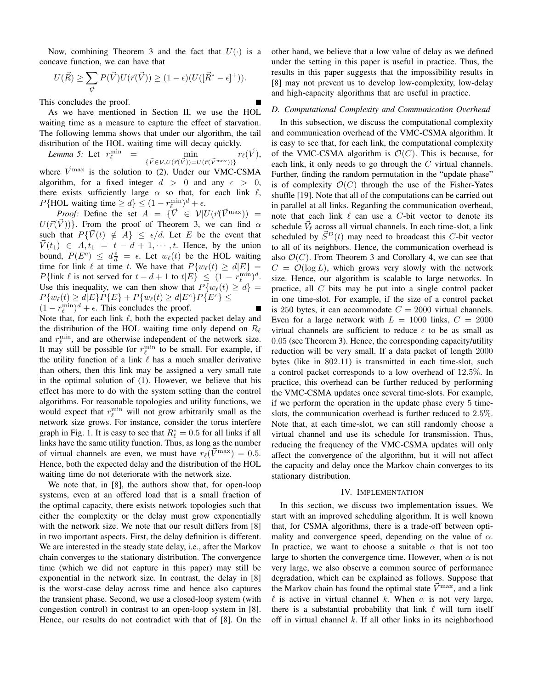Now, combining Theorem 3 and the fact that  $U(\cdot)$  is a concave function, we can have that

$$
U(\vec{R}) \ge \sum_{\vec{V}} P(\vec{V}) U(\vec{r}(\vec{V})) \ge (1 - \epsilon)(U([\vec{R}^* - \epsilon]^+)).
$$

This concludes the proof.

As we have mentioned in Section II, we use the HOL waiting time as a measure to capture the effect of starvation. The following lemma shows that under our algorithm, the tail distribution of the HOL waiting time will decay quickly.

Lemma 5: Let 
$$
r_{\ell}^{\min}
$$
 =  $\frac{\min}{\{\vec{V} \in \mathcal{V}, U(\vec{r}(\vec{V})) = U(\vec{r}(\vec{V}^{\max}))\}}$ 

where  $\vec{V}^{\text{max}}$  is the solution to (2). Under our VMC-CSMA algorithm, for a fixed integer  $d > 0$  and any  $\epsilon > 0$ , there exists sufficiently large  $\alpha$  so that, for each link  $\ell$ ,  $P$ *{HOL waiting time*  $\geq d$ *}*  $\leq (1 - r_{\ell}^{\min})^d + \epsilon$ .

*Proof:* Define the set  $\overrightarrow{A} = {\tilde{V} \in \mathcal{V} | U(\vec{r}(\vec{V}^{\max})) =$  $U(\vec{r}(\vec{V}))$ . From the proof of Theorem 3, we can find  $\alpha$ such that  $P\{\vec{V}(t) \notin A\} \leq \epsilon/d$ . Let *E* be the event that  $\overrightarrow{V}(t_1) \in A, t_1 = t - d + 1, \cdots, t$ . Hence, by the union bound,  $P(E^c) \leq d_{\overline{d}}^{\epsilon} = \epsilon$ . Let  $w_{\ell}(t)$  be the HOL waiting time for link  $\ell$  at time  $t$ . We have that  $P\{w_{\ell}(t) \ge d | E\}$  $P\{\text{link } \ell \text{ is not served for } t - d + 1 \text{ to } t | E\} \leq (1 - r_{\ell}^{\min})^d$ . Use this inequality, we can then show that  $P\{w_\ell(t) \geq d\}$  $P\{w_{\ell}(t) \geq d|E\}P\{E\} + P\{w_{\ell}(t) \geq d|E^{c}\}P\{E^{c}\} \leq$  $(1 - r_{\ell}^{\min})^d + \epsilon$ . This concludes the proof.

Note that, for each link *ℓ*, both the expected packet delay and the distribution of the HOL waiting time only depend on *R<sup>ℓ</sup>* and  $r_{\ell}^{\text{min}}$ , and are otherwise independent of the network size. It may still be possible for  $r_{\ell}^{\min}$  to be small. For example, if the utility function of a link *ℓ* has a much smaller derivative than others, then this link may be assigned a very small rate in the optimal solution of (1). However, we believe that his effect has more to do with the system setting than the control algorithms. For reasonable topologies and utility functions, we would expect that  $r_{\ell}^{\min}$  will not grow arbitrarily small as the network size grows. For instance, consider the torus interfere graph in Fig. 1. It is easy to see that  $R^*_{\ell} = 0.5$  for all links if all links have the same utility function. Thus, as long as the number of virtual channels are even, we must have  $r_\ell(\bar{V}^{\text{max}}) = 0.5$ . Hence, both the expected delay and the distribution of the HOL waiting time do not deteriorate with the network size.

We note that, in [8], the authors show that, for open-loop systems, even at an offered load that is a small fraction of the optimal capacity, there exists network topologies such that either the complexity or the delay must grow exponentially with the network size. We note that our result differs from [8] in two important aspects. First, the delay definition is different. We are interested in the steady state delay, i.e., after the Markov chain converges to the stationary distribution. The convergence time (which we did not capture in this paper) may still be exponential in the network size. In contrast, the delay in [8] is the worst-case delay across time and hence also captures the transient phase. Second, we use a closed-loop system (with congestion control) in contrast to an open-loop system in [8]. Hence, our results do not contradict with that of [8]. On the

other hand, we believe that a low value of delay as we defined under the setting in this paper is useful in practice. Thus, the results in this paper suggests that the impossibility results in [8] may not prevent us to develop low-complexity, low-delay and high-capacity algorithms that are useful in practice.

#### *D. Computational Complexity and Communication Overhead*

In this subsection, we discuss the computational complexity and communication overhead of the VMC-CSMA algorithm. It is easy to see that, for each link, the computational complexity of the VMC-CSMA algorithm is  $\mathcal{O}(C)$ . This is because, for each link, it only needs to go through the *C* virtual channels. Further, finding the random permutation in the "update phase" is of complexity  $\mathcal{O}(C)$  through the use of the Fisher-Yates shuffle [19]. Note that all of the computations can be carried out in parallel at all links. Regarding the communication overhead, note that each link *ℓ* can use a *C*-bit vector to denote its schedule  $\vec{V}_{\ell}$  across all virtual channels. In each time-slot, a link scheduled by  $\vec{S}^D(t)$  may need to broadcast this *C*-bit vector to all of its neighbors. Hence, the communication overhead is also  $\mathcal{O}(C)$ . From Theorem 3 and Corollary 4, we can see that  $C = \mathcal{O}(\log L)$ , which grows very slowly with the network size. Hence, our algorithm is scalable to large networks. In practice, all *C* bits may be put into a single control packet in one time-slot. For example, if the size of a control packet is 250 bytes, it can accommodate  $C = 2000$  virtual channels. Even for a large network with  $L = 1000$  links,  $C = 2000$ virtual channels are sufficient to reduce *ϵ* to be as small as 0*.*05 (see Theorem 3). Hence, the corresponding capacity/utility reduction will be very small. If a data packet of length 2000 bytes (like in 802*.*11) is transmitted in each time-slot, such a control packet corresponds to a low overhead of 12*.*5%. In practice, this overhead can be further reduced by performing the VMC-CSMA updates once several time-slots. For example, if we perform the operation in the update phase every 5 timeslots, the communication overhead is further reduced to 2*.*5%. Note that, at each time-slot, we can still randomly choose a virtual channel and use its schedule for transmission. Thus, reducing the frequency of the VMC-CSMA updates will only affect the convergence of the algorithm, but it will not affect the capacity and delay once the Markov chain converges to its stationary distribution.

#### IV. IMPLEMENTATION

In this section, we discuss two implementation issues. We start with an improved scheduling algorithm. It is well known that, for CSMA algorithms, there is a trade-off between optimality and convergence speed, depending on the value of *α*. In practice, we want to choose a suitable  $\alpha$  that is not too large to shorten the convergence time. However, when  $\alpha$  is not very large, we also observe a common source of performance degradation, which can be explained as follows. Suppose that the Markov chain has found the optimal state  $\vec{V}^{\text{max}}$ , and a link  $\ell$  is active in virtual channel *k*. When  $\alpha$  is not very large, there is a substantial probability that link *ℓ* will turn itself off in virtual channel *k*. If all other links in its neighborhood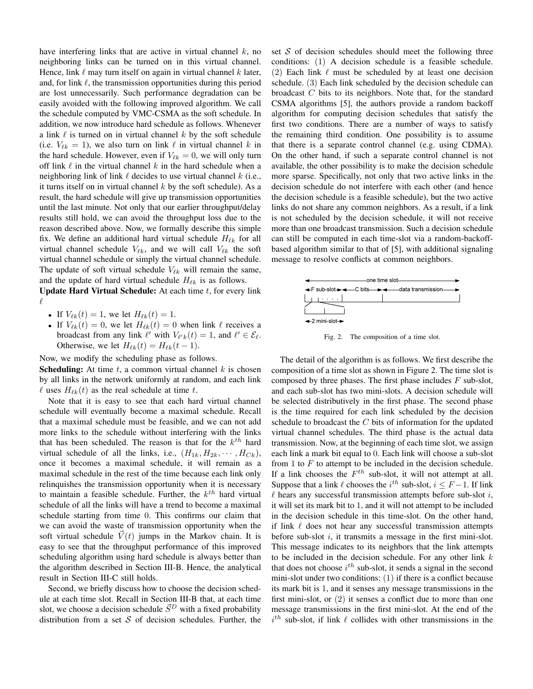have interfering links that are active in virtual channel *k*, no neighboring links can be turned on in this virtual channel. Hence, link *ℓ* may turn itself on again in virtual channel *k* later, and, for link *ℓ*, the transmission opportunities during this period are lost unnecessarily. Such performance degradation can be easily avoided with the following improved algorithm. We call the schedule computed by VMC-CSMA as the soft schedule. In addition, we now introduce hard schedule as follows. Whenever a link *ℓ* is turned on in virtual channel *k* by the soft schedule (i.e.  $V_{\ell k} = 1$ ), we also turn on link  $\ell$  in virtual channel k in the hard schedule. However, even if  $V_{\ell k} = 0$ , we will only turn off link *ℓ* in the virtual channel *k* in the hard schedule when a neighboring link of link *ℓ* decides to use virtual channel *k* (i.e., it turns itself on in virtual channel *k* by the soft schedule). As a result, the hard schedule will give up transmission opportunities until the last minute. Not only that our earlier throughput/delay results still hold, we can avoid the throughput loss due to the reason described above. Now, we formally describe this simple fix. We define an additional hard virtual schedule *Hℓk* for all virtual channel schedule  $V_{\ell k}$ , and we will call  $V_{\ell k}$  the soft virtual channel schedule or simply the virtual channel schedule. The update of soft virtual schedule  $V_{\ell k}$  will remain the same, and the update of hard virtual schedule  $H_{\ell k}$  is as follows.

Update Hard Virtual Schedule: At each time *t*, for every link *ℓ*

- If  $V_{\ell k}(t) = 1$ , we let  $H_{\ell k}(t) = 1$ .
- If  $V_{\ell k}(t) = 0$ , we let  $H_{\ell k}(t) = 0$  when link  $\ell$  receives a broadcast from any link  $\ell'$  with  $V_{\ell'k}(t) = 1$ , and  $\ell' \in \mathcal{E}_{\ell}$ . Otherwise, we let  $H_{\ell k}(t) = H_{\ell k}(t-1)$ .

Now, we modify the scheduling phase as follows.

Scheduling: At time *t*, a common virtual channel *k* is chosen by all links in the network uniformly at random, and each link  $\ell$  uses  $H_{\ell k}(t)$  as the real schedule at time *t*.

Note that it is easy to see that each hard virtual channel schedule will eventually become a maximal schedule. Recall that a maximal schedule must be feasible, and we can not add more links to the schedule without interfering with the links that has been scheduled. The reason is that for the *k th* hard virtual schedule of all the links, i.e.,  $(H_{1k}, H_{2k}, \cdots, H_{Ck})$ , once it becomes a maximal schedule, it will remain as a maximal schedule in the rest of the time because each link only relinquishes the transmission opportunity when it is necessary to maintain a feasible schedule. Further, the *k th* hard virtual schedule of all the links will have a trend to become a maximal schedule starting from time 0. This confirms our claim that we can avoid the waste of transmission opportunity when the soft virtual schedule  $\vec{V}(t)$  jumps in the Markov chain. It is easy to see that the throughput performance of this improved scheduling algorithm using hard schedule is always better than the algorithm described in Section III-B. Hence, the analytical result in Section III-C still holds.

Second, we briefly discuss how to choose the decision schedule at each time slot. Recall in Section III-B that, at each time slot, we choose a decision schedule  $\vec{S}^D$  with a fixed probability distribution from a set *S* of decision schedules. Further, the set *S* of decision schedules should meet the following three conditions: (1) A decision schedule is a feasible schedule. (2) Each link *ℓ* must be scheduled by at least one decision schedule. (3) Each link scheduled by the decision schedule can broadcast *C* bits to its neighbors. Note that, for the standard CSMA algorithms [5], the authors provide a random backoff algorithm for computing decision schedules that satisfy the first two conditions. There are a number of ways to satisfy the remaining third condition. One possibility is to assume that there is a separate control channel (e.g. using CDMA). On the other hand, if such a separate control channel is not available, the other possibility is to make the decision schedule more sparse. Specifically, not only that two active links in the decision schedule do not interfere with each other (and hence the decision schedule is a feasible schedule), but the two active links do not share any common neighbors. As a result, if a link is not scheduled by the decision schedule, it will not receive more than one broadcast transmission. Such a decision schedule can still be computed in each time-slot via a random-backoffbased algorithm similar to that of [5], with additional signaling message to resolve conflicts at common neighbors.



Fig. 2. The composition of a time slot.

The detail of the algorithm is as follows. We first describe the composition of a time slot as shown in Figure 2. The time slot is composed by three phases. The first phase includes *F* sub-slot, and each sub-slot has two mini-slots. A decision schedule will be selected distributively in the first phase. The second phase is the time required for each link scheduled by the decision schedule to broadcast the *C* bits of information for the updated virtual channel schedules. The third phase is the actual data transmission. Now, at the beginning of each time slot, we assign each link a mark bit equal to 0. Each link will choose a sub-slot from 1 to *F* to attempt to be included in the decision schedule. If a link chooses the  $F^{th}$  sub-slot, it will not attempt at all. Suppose that a link  $\ell$  chooses the  $i^{th}$  sub-slot,  $i \leq F - 1$ . If link *ℓ* hears any successful transmission attempts before sub-slot *i*, it will set its mark bit to 1, and it will not attempt to be included in the decision schedule in this time-slot. On the other hand, if link *ℓ* does not hear any successful transmission attempts before sub-slot *i*, it transmits a message in the first mini-slot. This message indicates to its neighbors that the link attempts to be included in the decision schedule. For any other link *k* that does not choose *i th* sub-slot, it sends a signal in the second mini-slot under two conditions: (1) if there is a conflict because its mark bit is 1, and it senses any message transmissions in the first mini-slot, or (2) it senses a conflict due to more than one message transmissions in the first mini-slot. At the end of the *i*<sup>th</sup> sub-slot, if link *ℓ* collides with other transmissions in the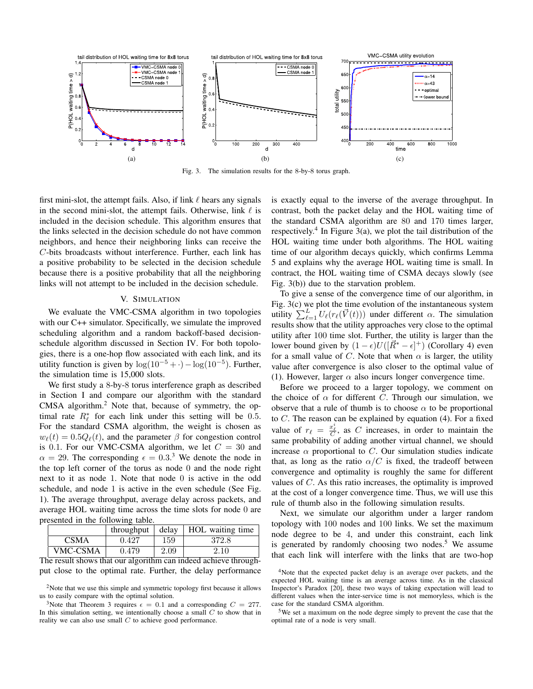

Fig. 3. The simulation results for the 8-by-8 torus graph.

first mini-slot, the attempt fails. Also, if link *ℓ* hears any signals in the second mini-slot, the attempt fails. Otherwise, link *ℓ* is included in the decision schedule. This algorithm ensures that the links selected in the decision schedule do not have common neighbors, and hence their neighboring links can receive the *C*-bits broadcasts without interference. Further, each link has a positive probability to be selected in the decision schedule because there is a positive probability that all the neighboring links will not attempt to be included in the decision schedule.

#### V. SIMULATION

We evaluate the VMC-CSMA algorithm in two topologies with our C++ simulator. Specifically, we simulate the improved scheduling algorithm and a random backoff-based decisionschedule algorithm discussed in Section IV. For both topologies, there is a one-hop flow associated with each link, and its utility function is given by  $\log(10^{-5} + \cdot) - \log(10^{-5})$ . Further, the simulation time is 15,000 slots.

We first study a 8-by-8 torus interference graph as described in Section I and compare our algorithm with the standard CMSA algorithm.<sup>2</sup> Note that, because of symmetry, the optimal rate  $R^*_{\ell}$  for each link under this setting will be 0.5. For the standard CSMA algorithm, the weight is chosen as  $w_{\ell}(t) = 0.5Q_{\ell}(t)$ , and the parameter  $\beta$  for congestion control is 0.1. For our VMC-CSMA algorithm, we let  $C = 30$  and  $\alpha = 29$ . The corresponding  $\epsilon = 0.3$ <sup>3</sup> We denote the node in the top left corner of the torus as node  $0$  and the node right next to it as node 1. Note that node 0 is active in the odd schedule, and node 1 is active in the even schedule (See Fig. 1). The average throughput, average delay across packets, and average HOL waiting time across the time slots for node 0 are presented in the following table.

|             | throughput | delay | HOL waiting time |
|-------------|------------|-------|------------------|
| <b>CSMA</b> | 0.427      | 159   | 372.8            |
| VMC-CSMA    | 0.479      | 2.09  | 2.10             |

The result shows that our algorithm can indeed achieve throughput close to the optimal rate. Further, the delay performance

is exactly equal to the inverse of the average throughput. In contrast, both the packet delay and the HOL waiting time of the standard CSMA algorithm are 80 and 170 times larger, respectively.<sup>4</sup> In Figure 3(a), we plot the tail distribution of the HOL waiting time under both algorithms. The HOL waiting time of our algorithm decays quickly, which confirms Lemma 5 and explains why the average HOL waiting time is small. In contract, the HOL waiting time of CSMA decays slowly (see Fig. 3(b)) due to the starvation problem.

To give a sense of the convergence time of our algorithm, in Fig. 3(c) we plot the time evolution of the instantaneous system utility  $\sum_{\ell=1}^{L} U_{\ell}(r_{\ell}(\vec{V}(t)))$  under different  $\alpha$ . The simulation results show that the utility approaches very close to the optimal utility after 100 time slot. Further, the utility is larger than the lower bound given by  $(1 - \epsilon)U([\vec{R}^* - \epsilon]^+)$  (Corollary 4) even for a small value of *C*. Note that when  $\alpha$  is larger, the utility value after convergence is also closer to the optimal value of (1). However, larger  $\alpha$  also incurs longer convergence time.

Before we proceed to a larger topology, we comment on the choice of  $\alpha$  for different *C*. Through our simulation, we observe that a rule of thumb is to choose  $\alpha$  to be proportional to *C*. The reason can be explained by equation (4). For a fixed value of  $r_\ell = \frac{x_\ell^i}{C}$ , as *C* increases, in order to maintain the same probability of adding another virtual channel, we should increase  $\alpha$  proportional to *C*. Our simulation studies indicate that, as long as the ratio  $\alpha/C$  is fixed, the tradeoff between convergence and optimality is roughly the same for different values of *C*. As this ratio increases, the optimality is improved at the cost of a longer convergence time. Thus, we will use this rule of thumb also in the following simulation results.

Next, we simulate our algorithm under a larger random topology with 100 nodes and 100 links. We set the maximum node degree to be 4, and under this constraint, each link is generated by randomly choosing two nodes.<sup>5</sup> We assume that each link will interfere with the links that are two-hop

<sup>&</sup>lt;sup>2</sup>Note that we use this simple and symmetric topology first because it allows us to easily compare with the optimal solution.

<sup>&</sup>lt;sup>3</sup>Note that Theorem 3 requires  $\epsilon = 0.1$  and a corresponding  $C = 277$ . In this simulation setting, we intentionally choose a small *C* to show that in reality we can also use small *C* to achieve good performance.

<sup>&</sup>lt;sup>4</sup>Note that the expected packet delay is an average over packets, and the expected HOL waiting time is an average across time. As in the classical Inspector's Paradox [20], these two ways of taking expectation will lead to different values when the inter-service time is not memoryless, which is the case for the standard CSMA algorithm.

<sup>5</sup>We set a maximum on the node degree simply to prevent the case that the optimal rate of a node is very small.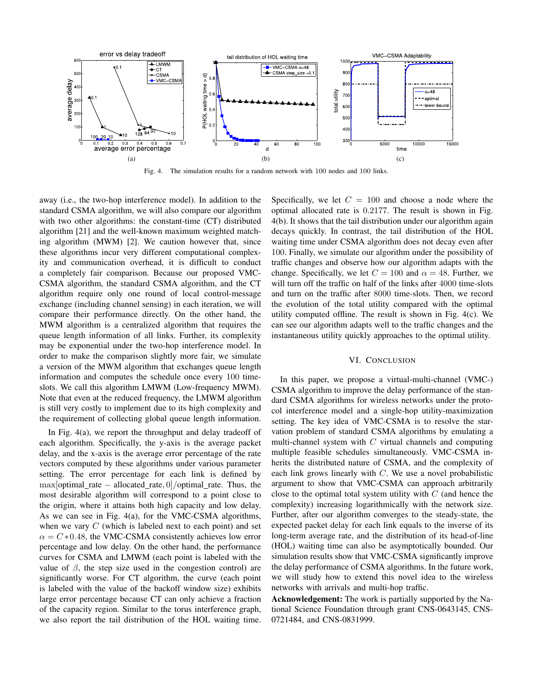

Fig. 4. The simulation results for a random network with 100 nodes and 100 links.

away (i.e., the two-hop interference model). In addition to the standard CSMA algorithm, we will also compare our algorithm with two other algorithms: the constant-time (CT) distributed algorithm [21] and the well-known maximum weighted matching algorithm (MWM) [2]. We caution however that, since these algorithms incur very different computational complexity and communication overhead, it is difficult to conduct a completely fair comparison. Because our proposed VMC-CSMA algorithm, the standard CSMA algorithm, and the CT algorithm require only one round of local control-message exchange (including channel sensing) in each iteration, we will compare their performance directly. On the other hand, the MWM algorithm is a centralized algorithm that requires the queue length information of all links. Further, its complexity may be exponential under the two-hop interference model. In order to make the comparison slightly more fair, we simulate a version of the MWM algorithm that exchanges queue length information and computes the schedule once every 100 timeslots. We call this algorithm LMWM (Low-frequency MWM). Note that even at the reduced frequency, the LMWM algorithm is still very costly to implement due to its high complexity and the requirement of collecting global queue length information.

In Fig. 4(a), we report the throughput and delay tradeoff of each algorithm. Specifically, the y-axis is the average packet delay, and the x-axis is the average error percentage of the rate vectors computed by these algorithms under various parameter setting. The error percentage for each link is defined by max[optimal rate *−* allocated rate*,* 0]*/*optimal rate. Thus, the most desirable algorithm will correspond to a point close to the origin, where it attains both high capacity and low delay. As we can see in Fig. 4(a), for the VMC-CSMA algorithms, when we vary *C* (which is labeled next to each point) and set  $\alpha = C * 0.48$ , the VMC-CSMA consistently achieves low error percentage and low delay. On the other hand, the performance curves for CSMA and LMWM (each point is labeled with the value of  $\beta$ , the step size used in the congestion control) are significantly worse. For CT algorithm, the curve (each point is labeled with the value of the backoff window size) exhibits large error percentage because CT can only achieve a fraction of the capacity region. Similar to the torus interference graph, we also report the tail distribution of the HOL waiting time.

Specifically, we let  $C = 100$  and choose a node where the optimal allocated rate is 0*.*2177. The result is shown in Fig. 4(b). It shows that the tail distribution under our algorithm again decays quickly. In contrast, the tail distribution of the HOL waiting time under CSMA algorithm does not decay even after 100. Finally, we simulate our algorithm under the possibility of traffic changes and observe how our algorithm adapts with the change. Specifically, we let  $C = 100$  and  $\alpha = 48$ . Further, we will turn off the traffic on half of the links after 4000 time-slots and turn on the traffic after 8000 time-slots. Then, we record the evolution of the total utility compared with the optimal utility computed offline. The result is shown in Fig. 4(c). We can see our algorithm adapts well to the traffic changes and the instantaneous utility quickly approaches to the optimal utility.

#### VI. CONCLUSION

In this paper, we propose a virtual-multi-channel (VMC-) CSMA algorithm to improve the delay performance of the standard CSMA algorithms for wireless networks under the protocol interference model and a single-hop utility-maximization setting. The key idea of VMC-CSMA is to resolve the starvation problem of standard CSMA algorithms by emulating a multi-channel system with *C* virtual channels and computing multiple feasible schedules simultaneously. VMC-CSMA inherits the distributed nature of CSMA, and the complexity of each link grows linearly with *C*. We use a novel probabilistic argument to show that VMC-CSMA can approach arbitrarily close to the optimal total system utility with *C* (and hence the complexity) increasing logarithmically with the network size. Further, after our algorithm converges to the steady-state, the expected packet delay for each link equals to the inverse of its long-term average rate, and the distribution of its head-of-line (HOL) waiting time can also be asymptotically bounded. Our simulation results show that VMC-CSMA significantly improve the delay performance of CSMA algorithms. In the future work, we will study how to extend this novel idea to the wireless networks with arrivals and multi-hop traffic.

Acknowledgement: The work is partially supported by the National Science Foundation through grant CNS-0643145, CNS-0721484, and CNS-0831999.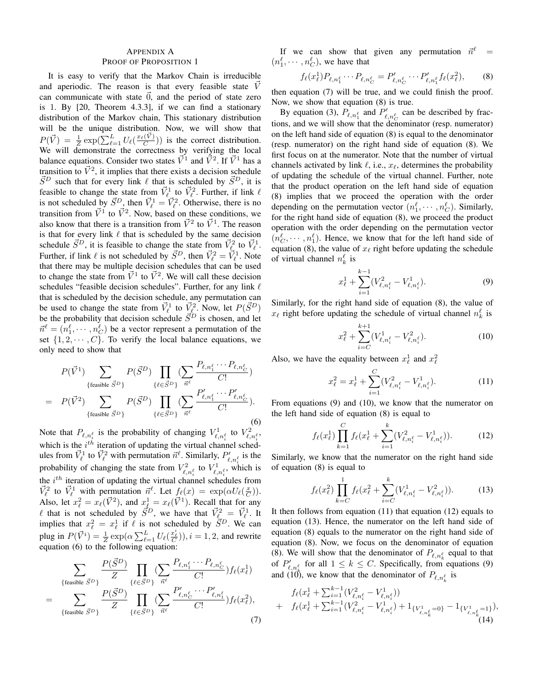#### APPENDIX A PROOF OF PROPOSITION 1

It is easy to verify that the Markov Chain is irreducible and aperiodic. The reason is that every feasible state  $\vec{V}$ can communicate with state  $\vec{0}$ , and the period of state zero is 1. By [20, Theorem 4.3.3], if we can find a stationary distribution of the Markov chain, This stationary distribution will be the unique distribution. Now, we will show that  $P(\vec{V}) = \frac{1}{Z} \exp(\sum_{\ell=1}^{L} U_{\ell}(\frac{x_{\ell}(\vec{V})}{C}))$  is the correct distribution. We will demonstrate the correctness by verifying the local balance equations. Consider two states  $\vec{V}^1$  and  $\vec{V}^2$ . If  $\vec{V}^1$  has a transition to  $\vec{V}^2$ , it implies that there exists a decision schedule  $\vec{S}^D$  such that for every link  $\ell$  that is scheduled by  $\vec{S}^D$ , it is feasible to change the state from  $\vec{V}_{\ell}^1$  to  $\vec{V}_{\ell}^2$ . Further, if link  $\ell$ is not scheduled by  $\vec{S}^D$ , then  $\vec{V}^1_\ell = \vec{V}^2_\ell$ . Otherwise, there is no transition from  $\vec{V}^1$  to  $\vec{V}^2$ . Now, based on these conditions, we also know that there is a transition from  $\vec{V}^2$  to  $\vec{V}^1$ . The reason is that for every link *ℓ* that is scheduled by the same decision schedule  $\vec{S}^D$ , it is feasible to change the state from  $\vec{V}_{\ell}^2$  to  $\vec{V}_{\ell}^1$ . Further, if link  $\ell$  is not scheduled by  $\vec{S}^D$ , then  $\vec{V}_\ell^2 = \vec{V}_\ell^1$ . Note that there may be multiple decision schedules that can be used to change the state from  $\vec{V}^1$  to  $\vec{V}^2$ . We will call these decision schedules "feasible decision schedules". Further, for any link *ℓ* that is scheduled by the decision schedule, any permutation can be used to change the state from  $\vec{V}_{\ell}^1$  to  $\vec{V}_{\ell}^2$ . Now, let  $P(\vec{S}^D)$ be the probability that decision schedule  $\vec{S}^D$  is chosen, and let  $\vec{n}^{\ell} = (n_1^{\ell}, \dots, n_C^{\ell})$  be a vector represent a permutation of the set  $\{1, 2, \cdots, C\}$ . To verify the local balance equations, we only need to show that

$$
P(\vec{V}^1) \sum_{\{\text{feasible } \vec{S}^D\}} P(\vec{S}^D) \prod_{\{\ell \in \vec{S}^D\}} (\sum_{\vec{n}^{\ell}} \frac{P_{\ell, n_1^{\ell}} \cdots P_{\ell, n_C^{\ell}}}{C!})
$$
  
= 
$$
P(\vec{V}^2) \sum_{\{\text{feasible } \vec{S}^D\}} P(\vec{S}^D) \prod_{\{\ell \in \vec{S}^D\}} (\sum_{\vec{n}^{\ell}} \frac{P'_{\ell, n_1^{\ell}} \cdots P'_{\ell, n_C^{\ell}}}{C!}).
$$
 (6)

Note that  $P_{\ell,n_{\frac{\ell}{2}}}$  is the probability of changing  $V_{\ell,n_{\ell}^{\ell}}^1$  to  $V_{\ell,n_{\ell}^{\ell}}^2$ , which is the  $i^{th}$  iteration of updating the virtual channel schedules from  $\vec{V}_{\ell}^1$  to  $\vec{V}_{\ell}^2$  with permutation  $\vec{n}^{\ell}$ . Similarly,  $P'_{\ell,n_{\ell}^{\ell}}$  is the probability of changing the state from  $V_{\ell,n_\ell}^2$  to  $V_{\ell,n_\ell}^1$ , which is the *i th* iteration of updating the virtual channel schedules from  $\vec{V}_{\ell}^2$  to  $\vec{V}_{\ell}^1$  with permutation  $\vec{n}^{\ell}$ . Let  $f_{\ell}(x) = \exp(\alpha U_{\ell}(\frac{x}{C}))$ . Also, let  $x_{\ell}^2 = x_{\ell}(\vec{V}^2)$ , and  $x_{\ell}^1 = x_{\ell}(\vec{V}^1)$ . Recall that for any *ℓ* that is not scheduled by  $\vec{S}^D$ , we have that  $\vec{V}^2_{\ell} = \vec{V}^1_{\ell}$ . It implies that  $x_{\ell}^2 = x_{\ell}^1$  if  $\ell$  is not scheduled by  $\vec{S}^D$ . We can plug in  $P(\vec{V}^i) = \frac{1}{Z} \exp(\alpha \sum_{\ell=1}^L U_\ell(\frac{x_\ell^i}{C}))$ ,  $i = 1, 2$ , and rewrite equation (6) to the following equation:

$$
= \sum_{\{\text{feasible } \vec{S}^D\}} \frac{P(\vec{S}^D)}{Z} \prod_{\{\ell \in \vec{S}^D\}} (\sum_{\vec{n}^{\ell}} \frac{P_{\ell, n_1^{\ell}} \cdots P_{\ell, n_C^{\ell}}}{C!}) f_{\ell}(x_{\ell}^1)
$$

$$
= \sum_{\{\text{feasible } \vec{S}^D\}} \frac{P(\vec{S}^D)}{Z} \prod_{\{\ell \in \vec{S}^D\}} (\sum_{\vec{n}^{\ell}} \frac{P'_{\ell, n_C^{\ell}} \cdots P'_{\ell, n_1^{\ell}}}{C!}) f_{\ell}(x_{\ell}^2),
$$
(7)

If we can show that given any permutation  $\vec{n}^{\ell}$  =  $(n_1^{\ell}, \dots, n_C^{\ell})$ , we have that

$$
f_{\ell}(x_{\ell}^{1})P_{\ell,n_{1}^{\ell}}\cdots P_{\ell,n_{C}^{\ell}} = P'_{\ell,n_{C}^{\ell}}\cdots P'_{\ell,n_{1}^{\ell}}f_{\ell}(x_{\ell}^{2}),
$$
 (8)

then equation (7) will be true, and we could finish the proof. Now, we show that equation (8) is true.

By equation (3),  $P_{\ell,n_1^{\ell}}$  and  $P'_{\ell,n_C^{\ell}}$  can be described by fractions, and we will show that the denominator (resp. numerator) on the left hand side of equation (8) is equal to the denominator (resp. numerator) on the right hand side of equation (8). We first focus on at the numerator. Note that the number of virtual channels activated by link  $\ell$ , i.e.,  $x_{\ell}$ , determines the probability of updating the schedule of the virtual channel. Further, note that the product operation on the left hand side of equation (8) implies that we proceed the operation with the order depending on the permutation vector  $(n_1^{\ell}, \dots, n_C^{\ell})$ . Similarly, for the right hand side of equation (8), we proceed the product operation with the order depending on the permutation vector  $(n_C^{\ell}, \dots, n_1^{\ell})$ . Hence, we know that for the left hand side of equation (8), the value of  $x_\ell$  right before updating the schedule of virtual channel  $n_k^{\ell}$  is

$$
x_{\ell}^{1} + \sum_{i=1}^{k-1} (V_{\ell, n_i^{\ell}}^2 - V_{\ell, n_i^{\ell}}^1). \tag{9}
$$

Similarly, for the right hand side of equation (8), the value of  $x_{\ell}$  right before updating the schedule of virtual channel  $n_k^{\ell}$  is

$$
x_{\ell}^2 + \sum_{i=C}^{k+1} (V_{\ell,n_i^{\ell}}^1 - V_{\ell,n_i^{\ell}}^2). \tag{10}
$$

Also, we have the equality between  $x^1_\ell$  and  $x^2_\ell$ 

$$
x_{\ell}^2 = x_{\ell}^1 + \sum_{i=1}^{C} (V_{\ell, n_i^{\ell}}^2 - V_{\ell, n_i^{\ell}}^1). \tag{11}
$$

From equations (9) and (10), we know that the numerator on the left hand side of equation (8) is equal to

$$
f_{\ell}(x_{\ell}^1) \prod_{k=1}^{C} f_{\ell}(x_{\ell}^1 + \sum_{i=1}^{k} (V_{\ell,n_i^{\ell}}^2 - V_{\ell,n_i^{\ell}}^1)). \tag{12}
$$

Similarly, we know that the numerator on the right hand side of equation (8) is equal to

$$
f_{\ell}(x_{\ell}^2) \prod_{k=C}^{1} f_{\ell}(x_{\ell}^2 + \sum_{i=C}^{k} (V_{\ell,n_{i}^{\ell}}^1 - V_{\ell,n_{i}^{\ell}}^2)). \tag{13}
$$

It then follows from equation (11) that equation (12) equals to equation (13). Hence, the numerator on the left hand side of equation (8) equals to the numerator on the right hand side of equation (8). Now, we focus on the denominator of equation (8). We will show that the denominator of  $P_{\ell,n_\nu}$  equal to that of  $P'_{\ell,n_k^{\ell}}$  for all  $1 \leq k \leq C$ . Specifically, from equations (9) and (10), we know that the denominator of  $P_{\ell,n_k^{\ell}}$  is

$$
f_{\ell}(x_{\ell}^{1} + \sum_{i=1}^{k-1} (V_{\ell,n_{i}^{\ell}}^{2} - V_{\ell,n_{i}^{\ell}}^{1}))
$$
  
+ 
$$
f_{\ell}(x_{\ell}^{1} + \sum_{i=1}^{k-1} (V_{\ell,n_{i}^{\ell}}^{2} - V_{\ell,n_{i}^{\ell}}^{1}) + 1_{\{V_{\ell,n_{k}^{\ell}}^{1}=0\}} - 1_{\{V_{\ell,n_{k}^{\ell}}^{1}=1\}}),
$$
  
(14)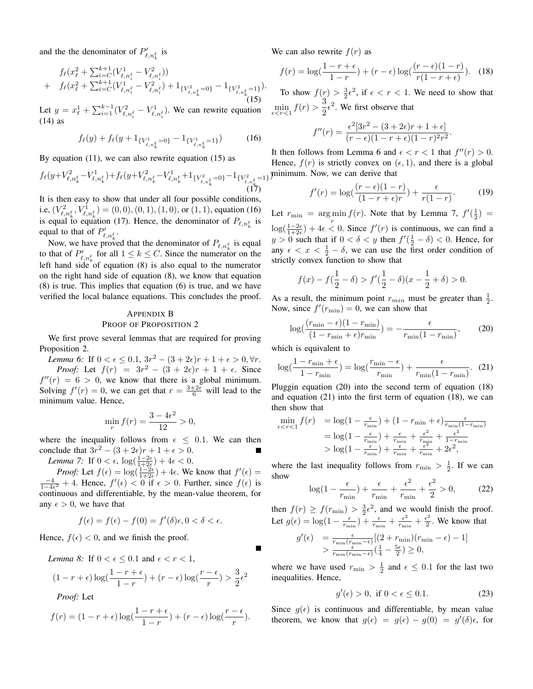and the the denominator of  $P'_{\ell,n_k^{\ell}}$  is

$$
f_{\ell}(x_{\ell}^{2} + \sum_{i=C}^{k+1} (V_{\ell,n_{i}^{\ell}}^{1} - V_{\ell,n_{i}^{\ell}}^{2}))
$$
  
+ 
$$
f_{\ell}(x_{\ell}^{2} + \sum_{i=C}^{k+1} (V_{\ell,n_{i}^{\ell}}^{1} - V_{\ell,n_{i}^{\ell}}^{2}) + 1_{\{V_{\ell,n_{k}^{\ell}}^{2}=0\}} - 1_{\{V_{\ell,n_{k}^{\ell}}^{2}=1\}}).
$$
  
(15)

Let  $y = x_{\ell}^1 + \sum_{i=1}^{k-1} (V_{\ell,n_i^{\ell}}^2 - V_{\ell,n_i^{\ell}}^1)$ . We can rewrite equation (14) as

$$
f_{\ell}(y) + f_{\ell}(y + 1_{\{V_{\ell,n_k^{\ell}}^1 = 0\}} - 1_{\{V_{\ell,n_k^{\ell}}^1 = 1\}})
$$
 (16)

By equation (11), we can also rewrite equation (15) as

$$
f_{\ell}(y+V_{\ell,n_k^{\ell}}^2-V_{\ell,n_k^{\ell}}^1)+f_{\ell}(y+V_{\ell,n_k^{\ell}}^2-V_{\ell,n_k^{\ell}}^1+1_{\{V_{\ell,n_k^{\ell}}^2=0\}}-1_{\{V_{\ell,n_k^{\ell}}^2=1\}}(17)
$$

It is then easy to show that under all four possible conditions, i.e,  $(V_{\ell,n_{\rm L}^{\ell}}^2, V_{\ell,n_{\rm L}^{\ell}}^1) = (0,0), (0,1), (1,0)$ , or  $(1,1)$ , equation (16) is equal to equation (17). Hence, the denominator of  $P_{\ell,n_{\scriptscriptstyle L}^{\ell}}$  is equal to that of  $P'_{\ell,n_k'}$ .

Now, we have proved that the denominator of  $P_{\ell,n_k^{\ell}}$  is equal to that of  $P'_{\ell,n_k^{\ell}}$  for all  $1 \leq k \leq C$ . Since the numerator on the left hand side of equation (8) is also equal to the numerator on the right hand side of equation (8), we know that equation (8) is true. This implies that equation (6) is true, and we have verified the local balance equations. This concludes the proof.

#### APPENDIX B PROOF OF PROPOSITION 2

We first prove several lemmas that are required for proving Proposition 2.

*Lemma 6:* If  $0 < \epsilon \le 0.1$ ,  $3r^2 - (3 + 2\epsilon)r + 1 + \epsilon > 0$ ,  $\forall r$ . *Proof:* Let  $f(r) = 3r^2 - (3 + 2\epsilon)r + 1 + \epsilon$ . Since  $f''(r) = 6 > 0$ , we know that there is a global minimum. Solving  $f'(r) = 0$ , we can get that  $r = \frac{3+2\epsilon}{6}$  will lead to the minimum value. Hence,

$$
\min_r f(r) = \frac{3 - 4\epsilon^2}{12} > 0,
$$

where the inequality follows from  $\epsilon \leq 0.1$ . We can then conclude that  $3r^2 - (3 + 2\epsilon)r + 1 + \epsilon > 0$ . Г

*Lemma 7:* If  $0 < \epsilon$ ,  $log(\frac{1-2\epsilon}{1+2\epsilon}) + 4\epsilon < 0$ .

*Proof:* Let  $f(\epsilon) = \log(\frac{1-2\epsilon}{1+2\epsilon}) + 4\epsilon$ . We know that  $f'(\epsilon) =$  $\frac{-4}{1-4\epsilon^2}$  + 4. Hence,  $f'(\epsilon) < 0$  if  $\epsilon > 0$ . Further, since  $f(\epsilon)$  is continuous and differentiable, by the mean-value theorem, for any  $\epsilon > 0$ , we have that

$$
f(\epsilon) = f(\epsilon) - f(0) = f'(\delta)\epsilon, 0 < \delta < \epsilon.
$$

Hence,  $f(\epsilon) < 0$ , and we finish the proof.

*Lemma 8:* If  $0 < \epsilon < 0.1$  and  $\epsilon < r < 1$ ,

$$
(1 - r + \epsilon) \log(\frac{1 - r + \epsilon}{1 - r}) + (r - \epsilon) \log(\frac{r - \epsilon}{r}) > \frac{3}{2}\epsilon^2
$$

*Proof:* Let

$$
f(r) = (1 - r + \epsilon) \log(\frac{1 - r + \epsilon}{1 - r}) + (r - \epsilon) \log(\frac{r - \epsilon}{r}).
$$

We can also rewrite  $f(r)$  as

$$
f(r) = \log\left(\frac{1-r+\epsilon}{1-r}\right) + (r-\epsilon)\log\left(\frac{(r-\epsilon)(1-r)}{r(1-r+\epsilon)}\right).
$$
 (18)

To show  $f(r) > \frac{3}{2} \epsilon^2$ , if  $\epsilon < r < 1$ . We need to show that  $\min_{\epsilon < r < 1} f(r) > \frac{3}{2}$  $\frac{3}{2} \epsilon^2$ . We first observe that

$$
f''(r) = \frac{\epsilon^2[3r^2 - (3+2\epsilon)r + 1 + \epsilon]}{(r - \epsilon)(1 - r + \epsilon)(1 - r)^2r^2}.
$$

) minimum. Now, we can derive that It then follows from Lemma 6 and  $\epsilon < r < 1$  that  $f''(r) > 0$ . Hence,  $f(r)$  is strictly convex on  $(\epsilon, 1)$ , and there is a global

$$
f'(r) = \log\left(\frac{(r-\epsilon)(1-r)}{(1-r+\epsilon)r}\right) + \frac{\epsilon}{r(1-r)}.\tag{19}
$$

Let  $r_{\min} = \arg \min f(r)$ . Note that by Lemma 7,  $f'(\frac{1}{2}) =$ 

log( $\frac{1-2\epsilon}{1+2\epsilon}$ ) + 4 $\epsilon$  < 0. Since  $f'(r)$  is continuous, we can find a  $y > 0$  such that if  $0 < \delta < y$  then  $f'(\frac{1}{2} - \delta) < 0$ . Hence, for any  $\epsilon < x < \frac{1}{2} - \delta$ , we can use the first order condition of strictly convex function to show that

$$
f(x) - f(\frac{1}{2} - \delta) > f'(\frac{1}{2} - \delta)(x - \frac{1}{2} + \delta) > 0.
$$

As a result, the minimum point  $r_{min}$  must be greater than  $\frac{1}{2}$ . Now, since  $f'(r_{\min}) = 0$ , we can show that

$$
\log\left(\frac{(r_{\min} - \epsilon)(1 - r_{\min})}{(1 - r_{\min} + \epsilon)r_{\min}}\right) = -\frac{\epsilon}{r_{\min}(1 - r_{\min})},\qquad(20)
$$

which is equivalent to

$$
\log(\frac{1 - r_{\min} + \epsilon}{1 - r_{\min}}) = \log(\frac{r_{\min} - \epsilon}{r_{\min}}) + \frac{\epsilon}{r_{\min}(1 - r_{\min})}.
$$
 (21)

Pluggin equation (20) into the second term of equation (18) and equation (21) into the first term of equation (18), we can then show that

$$
\min_{\epsilon < r < 1} f(r) = \log(1 - \frac{\epsilon}{r_{\min}}) + (1 - r_{\min} + \epsilon) \frac{\epsilon}{r_{\min}(1 - r_{\min})}
$$
\n
$$
= \log(1 - \frac{\epsilon}{r_{\min}}) + \frac{\epsilon}{r_{\min}} + \frac{\epsilon^2}{r_{\min}} + \frac{\epsilon^2}{1 - r_{\min}} \frac{\epsilon}{r_{\min}}
$$
\n
$$
> \log(1 - \frac{\epsilon}{r_{\min}}) + \frac{\epsilon}{r_{\min}} + \frac{\epsilon^2}{r_{\min}} + 2\epsilon^2,
$$

where the last inequality follows from  $r_{\min} > \frac{1}{2}$ . If we can show

$$
\log(1 - \frac{\epsilon}{r_{\min}}) + \frac{\epsilon}{r_{\min}} + \frac{\epsilon^2}{r_{\min}} + \frac{\epsilon^2}{2} > 0,
$$
 (22)

then  $f(r) \ge f(r_{\min}) > \frac{3}{2} \epsilon^2$ , and we would finish the proof. Let  $g(\epsilon) = \log(1 - \frac{\epsilon}{r_{\min}}) + \frac{\epsilon}{r_{\min}} + \frac{\epsilon^2}{r_{\min}}$  $\frac{\epsilon^2}{r_{\min}} + \frac{\epsilon^2}{2}$  $\frac{1}{2}$ . We know that  $g'(\epsilon) = \frac{\epsilon}{r_{\min}(r_{\min}-\epsilon)}[(2+r_{\min})(r_{\min}-\epsilon)-1]$  $> \frac{1}{r_{\min}(r_{\min}-\epsilon)} \left(\frac{1}{4} - \frac{5\epsilon}{2}\right) \geq 0,$ 

where we have used  $r_{\min} > \frac{1}{2}$  and  $\epsilon \leq 0.1$  for the last two inequalities. Hence,

$$
g'(\epsilon) > 0, \text{ if } 0 < \epsilon \le 0.1. \tag{23}
$$

Since  $q(\epsilon)$  is continuous and differentiable, by mean value theorem, we know that  $g(\epsilon) = g(\epsilon) - g(0) = g'(\delta)\epsilon$ , for